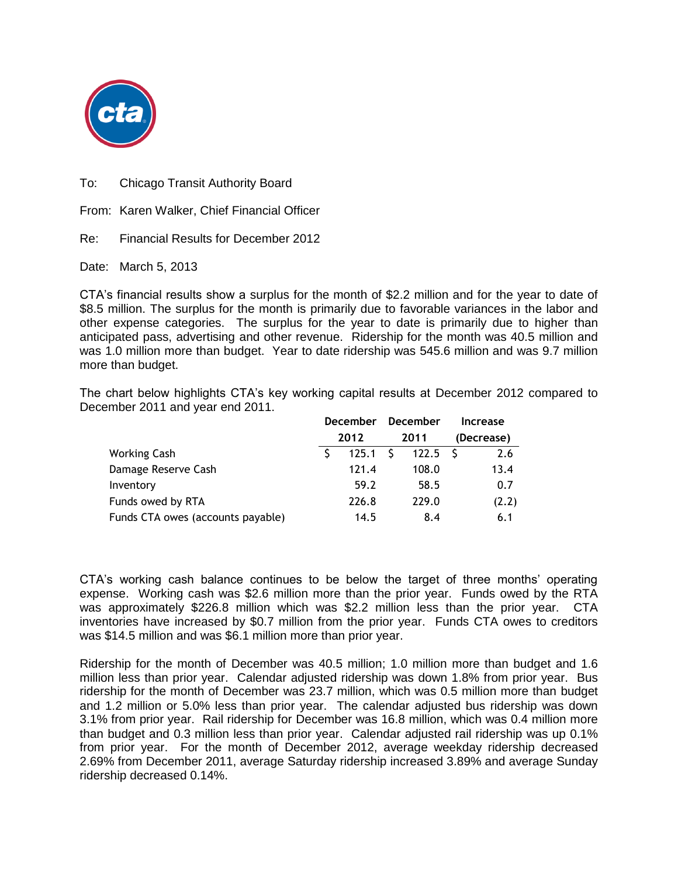

To: Chicago Transit Authority Board

From: Karen Walker, Chief Financial Officer

Re: Financial Results for December 2012

Date: March 5, 2013

CTA's financial results show a surplus for the month of \$2.2 million and for the year to date of \$8.5 million. The surplus for the month is primarily due to favorable variances in the labor and other expense categories. The surplus for the year to date is primarily due to higher than anticipated pass, advertising and other revenue. Ridership for the month was 40.5 million and was 1.0 million more than budget. Year to date ridership was 545.6 million and was 9.7 million more than budget.

The chart below highlights CTA's key working capital results at December 2012 compared to December 2011 and year end 2011.

|                                   | <b>December</b> |       | December |            | Increase |            |  |
|-----------------------------------|-----------------|-------|----------|------------|----------|------------|--|
|                                   |                 | 2012  |          | 2011       |          | (Decrease) |  |
| <b>Working Cash</b>               |                 | 125.1 | - S      | $122.5$ \$ |          | 2.6        |  |
| Damage Reserve Cash               |                 | 121.4 |          | 108.0      |          | 13.4       |  |
| Inventory                         |                 | 59.2  |          | 58.5       |          | 0.7        |  |
| Funds owed by RTA                 |                 | 226.8 |          | 229.0      |          | (2.2)      |  |
| Funds CTA owes (accounts payable) |                 | 14.5  |          | 8.4        |          | 6.1        |  |

CTA's working cash balance continues to be below the target of three months' operating expense. Working cash was \$2.6 million more than the prior year. Funds owed by the RTA was approximately \$226.8 million which was \$2.2 million less than the prior year. CTA inventories have increased by \$0.7 million from the prior year. Funds CTA owes to creditors was \$14.5 million and was \$6.1 million more than prior year.

Ridership for the month of December was 40.5 million; 1.0 million more than budget and 1.6 million less than prior year. Calendar adjusted ridership was down 1.8% from prior year. Bus ridership for the month of December was 23.7 million, which was 0.5 million more than budget and 1.2 million or 5.0% less than prior year. The calendar adjusted bus ridership was down 3.1% from prior year. Rail ridership for December was 16.8 million, which was 0.4 million more than budget and 0.3 million less than prior year. Calendar adjusted rail ridership was up 0.1% from prior year. For the month of December 2012, average weekday ridership decreased 2.69% from December 2011, average Saturday ridership increased 3.89% and average Sunday ridership decreased 0.14%.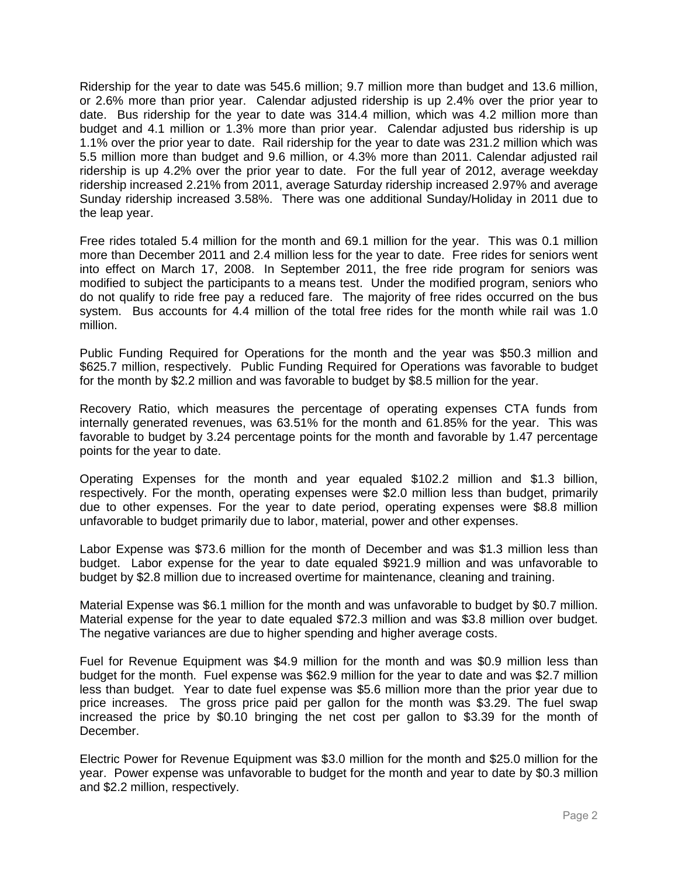Ridership for the year to date was 545.6 million; 9.7 million more than budget and 13.6 million, or 2.6% more than prior year. Calendar adjusted ridership is up 2.4% over the prior year to date. Bus ridership for the year to date was 314.4 million, which was 4.2 million more than budget and 4.1 million or 1.3% more than prior year. Calendar adjusted bus ridership is up 1.1% over the prior year to date. Rail ridership for the year to date was 231.2 million which was 5.5 million more than budget and 9.6 million, or 4.3% more than 2011. Calendar adjusted rail ridership is up 4.2% over the prior year to date. For the full year of 2012, average weekday ridership increased 2.21% from 2011, average Saturday ridership increased 2.97% and average Sunday ridership increased 3.58%. There was one additional Sunday/Holiday in 2011 due to the leap year.

Free rides totaled 5.4 million for the month and 69.1 million for the year. This was 0.1 million more than December 2011 and 2.4 million less for the year to date. Free rides for seniors went into effect on March 17, 2008. In September 2011, the free ride program for seniors was modified to subject the participants to a means test. Under the modified program, seniors who do not qualify to ride free pay a reduced fare. The majority of free rides occurred on the bus system. Bus accounts for 4.4 million of the total free rides for the month while rail was 1.0 million.

Public Funding Required for Operations for the month and the year was \$50.3 million and \$625.7 million, respectively. Public Funding Required for Operations was favorable to budget for the month by \$2.2 million and was favorable to budget by \$8.5 million for the year.

Recovery Ratio, which measures the percentage of operating expenses CTA funds from internally generated revenues, was 63.51% for the month and 61.85% for the year. This was favorable to budget by 3.24 percentage points for the month and favorable by 1.47 percentage points for the year to date.

Operating Expenses for the month and year equaled \$102.2 million and \$1.3 billion, respectively. For the month, operating expenses were \$2.0 million less than budget, primarily due to other expenses. For the year to date period, operating expenses were \$8.8 million unfavorable to budget primarily due to labor, material, power and other expenses.

Labor Expense was \$73.6 million for the month of December and was \$1.3 million less than budget. Labor expense for the year to date equaled \$921.9 million and was unfavorable to budget by \$2.8 million due to increased overtime for maintenance, cleaning and training.

Material Expense was \$6.1 million for the month and was unfavorable to budget by \$0.7 million. Material expense for the year to date equaled \$72.3 million and was \$3.8 million over budget. The negative variances are due to higher spending and higher average costs.

Fuel for Revenue Equipment was \$4.9 million for the month and was \$0.9 million less than budget for the month. Fuel expense was \$62.9 million for the year to date and was \$2.7 million less than budget. Year to date fuel expense was \$5.6 million more than the prior year due to price increases. The gross price paid per gallon for the month was \$3.29. The fuel swap increased the price by \$0.10 bringing the net cost per gallon to \$3.39 for the month of December.

Electric Power for Revenue Equipment was \$3.0 million for the month and \$25.0 million for the year. Power expense was unfavorable to budget for the month and year to date by \$0.3 million and \$2.2 million, respectively.